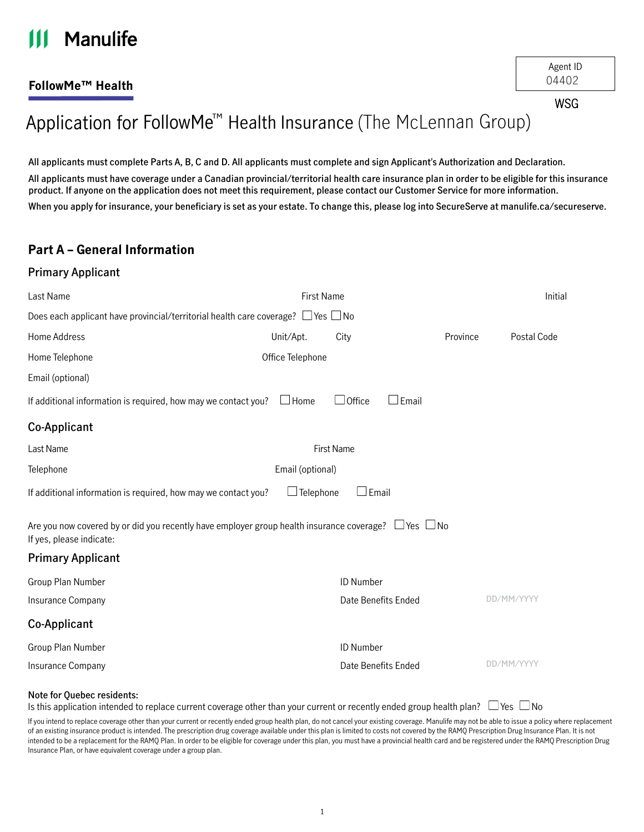#### **Manulife**  $\mathbf{III}$

## **FollowMe™ Health**

**WSG** 

# Application for FollowMe<sup>™</sup> Health Insurance (The McLennan Group)

**All applicants must complete Parts A, B, C and D. All applicants must complete and sign Applicant's Authorization and Declaration. All applicants must have coverage under a Canadian provincial/territorial health care insurance plan in order to be eligible for this insurance product. If anyone on the application does not meet this requirement, please contact our Customer Service for more information. When you apply for insurance, your beneficiary is set as your estate. To change this, please log into SecureServe at [manulife.ca/secureserve](http://manulife.ca/secureserve).**

## **Part A – General Information**

#### **Primary Applicant**

| Last Name                                                                                                                                  | Initial           |                               |          |             |  |  |  |  |
|--------------------------------------------------------------------------------------------------------------------------------------------|-------------------|-------------------------------|----------|-------------|--|--|--|--|
| Does each applicant have provincial/territorial health care coverage? $\Box$ Yes $\Box$ No                                                 |                   |                               |          |             |  |  |  |  |
| Home Address                                                                                                                               | Unit/Apt.         | City                          | Province | Postal Code |  |  |  |  |
| Home Telephone                                                                                                                             | Office Telephone  |                               |          |             |  |  |  |  |
| Email (optional)                                                                                                                           |                   |                               |          |             |  |  |  |  |
| If additional information is required, how may we contact you?                                                                             | $\Box$ Home       | $\Box$ Office<br>$\Box$ Email |          |             |  |  |  |  |
| Co-Applicant                                                                                                                               |                   |                               |          |             |  |  |  |  |
| Last Name                                                                                                                                  | <b>First Name</b> |                               |          |             |  |  |  |  |
| Telephone                                                                                                                                  | Email (optional)  |                               |          |             |  |  |  |  |
| $\Box$ Email<br>If additional information is required, how may we contact you?<br>$\Box$ Telephone                                         |                   |                               |          |             |  |  |  |  |
| Are you now covered by or did you recently have employer group health insurance coverage? $\Box$ Yes $\Box$ No<br>If yes, please indicate: |                   |                               |          |             |  |  |  |  |
| <b>Primary Applicant</b>                                                                                                                   |                   |                               |          |             |  |  |  |  |
| Group Plan Number                                                                                                                          |                   | ID Number                     |          |             |  |  |  |  |
| Insurance Company                                                                                                                          |                   | Date Benefits Ended           |          | DD/MM/YYYY  |  |  |  |  |
| Co-Applicant                                                                                                                               |                   |                               |          |             |  |  |  |  |
| Group Plan Number                                                                                                                          |                   | ID Number                     |          |             |  |  |  |  |
| Insurance Company                                                                                                                          |                   | Date Benefits Ended           |          | DD/MM/YYYY  |  |  |  |  |

#### **Note for Quebec residents:**

Is this application intended to replace current coverage other than your current or recently ended group health plan?  $\Box$  Yes  $\Box$  No

If you intend to replace coverage other than your current or recently ended group health plan, do not cancel your existing coverage. Manulife may not be able to issue a policy where replacement of an existing insurance product is intended. The prescription drug coverage available under this plan is limited to costs not covered by the RAMQ Prescription Drug Insurance Plan. It is not intended to be a replacement for the RAMQ Plan. In order to be eligible for coverage under this plan, you must have a provincial health card and be registered under the RAMQ Prescription Drug Insurance Plan, or have equivalent coverage under a group plan.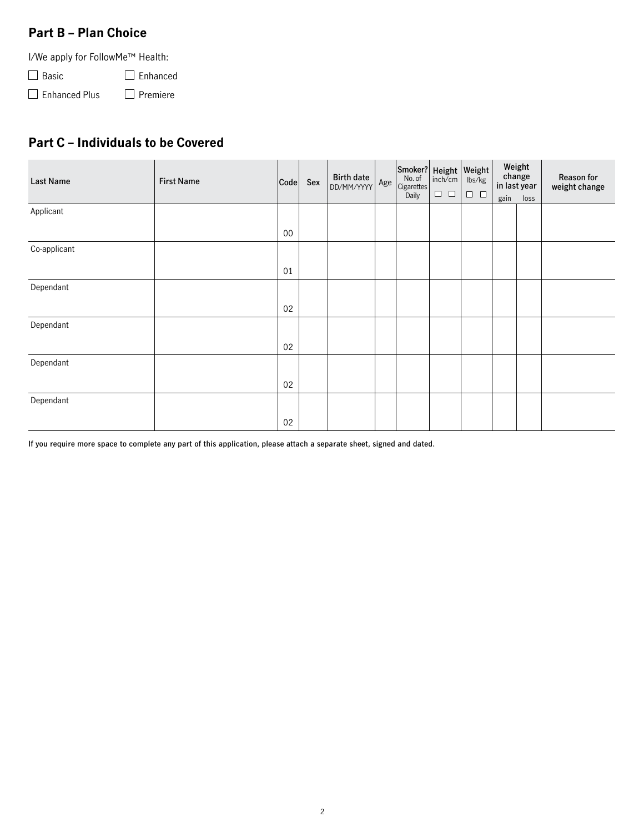## **Part B – Plan Choice**

I/We apply for FollowMe™ Health:

□ Basic □ Enhanced

 $\Box$  Enhanced Plus  $\Box$  Premiere

# **Part C – Individuals to be Covered**

| <b>Last Name</b> | <b>First Name</b> | Code   | Sex | <b>Birth date</b><br>DD/MM/YYYY | Age | Smoker? Height Weight<br>No. of $\lim_{h \to 0}$ lbs/kg<br>Cigarettes<br>Daily | $\Box$ $\Box$ | lbs/kg<br>$\Box$ $\Box$ |      | Weight<br>change<br>in last year | Reason for<br>weight change |
|------------------|-------------------|--------|-----|---------------------------------|-----|--------------------------------------------------------------------------------|---------------|-------------------------|------|----------------------------------|-----------------------------|
|                  |                   |        |     |                                 |     |                                                                                |               |                         | gain | loss                             |                             |
| Applicant        |                   |        |     |                                 |     |                                                                                |               |                         |      |                                  |                             |
|                  |                   | $00\,$ |     |                                 |     |                                                                                |               |                         |      |                                  |                             |
| Co-applicant     |                   |        |     |                                 |     |                                                                                |               |                         |      |                                  |                             |
|                  |                   | 01     |     |                                 |     |                                                                                |               |                         |      |                                  |                             |
| Dependant        |                   |        |     |                                 |     |                                                                                |               |                         |      |                                  |                             |
|                  |                   | 02     |     |                                 |     |                                                                                |               |                         |      |                                  |                             |
| Dependant        |                   |        |     |                                 |     |                                                                                |               |                         |      |                                  |                             |
|                  |                   | 02     |     |                                 |     |                                                                                |               |                         |      |                                  |                             |
| Dependant        |                   |        |     |                                 |     |                                                                                |               |                         |      |                                  |                             |
|                  |                   | 02     |     |                                 |     |                                                                                |               |                         |      |                                  |                             |
| Dependant        |                   |        |     |                                 |     |                                                                                |               |                         |      |                                  |                             |
|                  |                   | 02     |     |                                 |     |                                                                                |               |                         |      |                                  |                             |

**If you require more space to complete any part of this application, please attach a separate sheet, signed and dated.**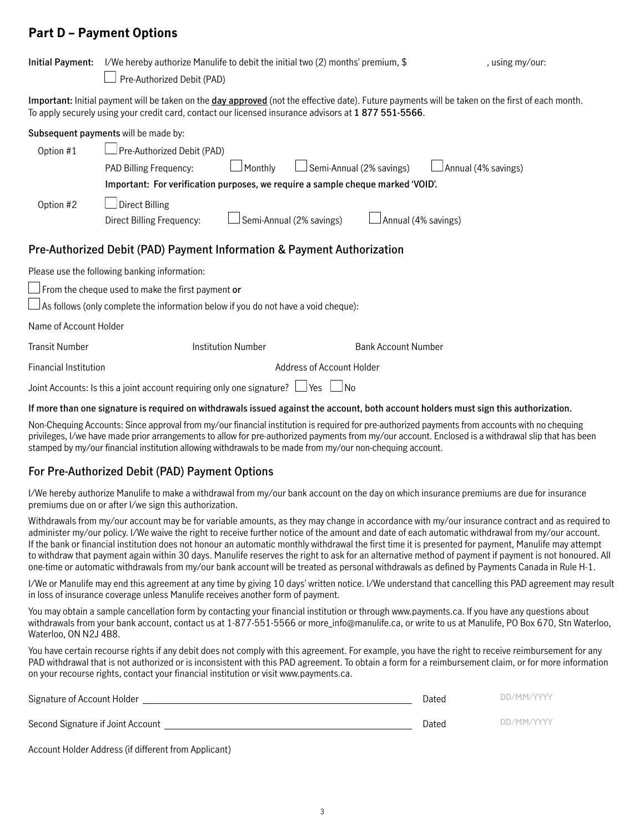## **Part D – Payment Options**

| <b>Initial Payment:</b>                                                                                                              | I/We hereby authorize Manulife to debit the initial two (2) months' premium, \$                                                                                                                                                                         |                          |                            | , using my/our:     |  |  |  |  |
|--------------------------------------------------------------------------------------------------------------------------------------|---------------------------------------------------------------------------------------------------------------------------------------------------------------------------------------------------------------------------------------------------------|--------------------------|----------------------------|---------------------|--|--|--|--|
|                                                                                                                                      | Pre-Authorized Debit (PAD)                                                                                                                                                                                                                              |                          |                            |                     |  |  |  |  |
|                                                                                                                                      | Important: Initial payment will be taken on the day approved (not the effective date). Future payments will be taken on the first of each month.<br>To apply securely using your credit card, contact our licensed insurance advisors at 1877 551-5566. |                          |                            |                     |  |  |  |  |
| Subsequent payments will be made by:                                                                                                 |                                                                                                                                                                                                                                                         |                          |                            |                     |  |  |  |  |
| Option #1                                                                                                                            | Pre-Authorized Debit (PAD)                                                                                                                                                                                                                              |                          |                            |                     |  |  |  |  |
|                                                                                                                                      | PAD Billing Frequency:<br>Monthly                                                                                                                                                                                                                       |                          | Semi-Annual (2% savings)   | Annual (4% savings) |  |  |  |  |
| Important: For verification purposes, we require a sample cheque marked 'VOID'.                                                      |                                                                                                                                                                                                                                                         |                          |                            |                     |  |  |  |  |
| Option #2                                                                                                                            | $\Box$ Direct Billing                                                                                                                                                                                                                                   |                          |                            |                     |  |  |  |  |
|                                                                                                                                      | Direct Billing Frequency:                                                                                                                                                                                                                               | Semi-Annual (2% savings) | Annual (4% savings)        |                     |  |  |  |  |
| Pre-Authorized Debit (PAD) Payment Information & Payment Authorization                                                               |                                                                                                                                                                                                                                                         |                          |                            |                     |  |  |  |  |
|                                                                                                                                      | Please use the following banking information:                                                                                                                                                                                                           |                          |                            |                     |  |  |  |  |
| $\sqrt{2}$ From the cheque used to make the first payment or                                                                         |                                                                                                                                                                                                                                                         |                          |                            |                     |  |  |  |  |
| $\vert$ As follows (only complete the information below if you do not have a void cheque):                                           |                                                                                                                                                                                                                                                         |                          |                            |                     |  |  |  |  |
| Name of Account Holder                                                                                                               |                                                                                                                                                                                                                                                         |                          |                            |                     |  |  |  |  |
| <b>Transit Number</b>                                                                                                                | <b>Institution Number</b>                                                                                                                                                                                                                               |                          | <b>Bank Account Number</b> |                     |  |  |  |  |
| <b>Financial Institution</b><br>Address of Account Holder                                                                            |                                                                                                                                                                                                                                                         |                          |                            |                     |  |  |  |  |
| Joint Accounts: Is this a joint account requiring only one signature? $\Box$ Yes $\Box$ No                                           |                                                                                                                                                                                                                                                         |                          |                            |                     |  |  |  |  |
| If more than one signature is required on withdrawals issued against the account, both account holders must sign this authorization. |                                                                                                                                                                                                                                                         |                          |                            |                     |  |  |  |  |

Non-Chequing Accounts: Since approval from my/our financial institution is required for pre-authorized payments from accounts with no chequing privileges, I/we have made prior arrangements to allow for pre-authorized payments from my/our account. Enclosed is a withdrawal slip that has been stamped by my/our financial institution allowing withdrawals to be made from my/our non-chequing account.

## **For Pre-Authorized Debit (PAD) Payment Options**

I/We hereby authorize Manulife to make a withdrawal from my/our bank account on the day on which insurance premiums are due for insurance premiums due on or after I/we sign this authorization.

Withdrawals from my/our account may be for variable amounts, as they may change in accordance with my/our insurance contract and as required to administer my/our policy. I/We waive the right to receive further notice of the amount and date of each automatic withdrawal from my/our account. If the bank or financial institution does not honour an automatic monthly withdrawal the first time it is presented for payment, Manulife may attempt to withdraw that payment again within 30 days. Manulife reserves the right to ask for an alternative method of payment if payment is not honoured. All one-time or automatic withdrawals from my/our bank account will be treated as personal withdrawals as defined by Payments Canada in Rule H-1.

I/We or Manulife may end this agreement at any time by giving 10 days' written notice. I/We understand that cancelling this PAD agreement may result in loss of insurance coverage unless Manulife receives another form of payment.

You may obtain a sample cancellation form by contacting your financial institution or through www.payments.ca. If you have any questions about withdrawals from your bank account, contact us at 1-877-551-5566 or more info@manulife.ca, or write to us at Manulife, PO Box 670, Stn Waterloo, Waterloo, ON N2J 4B8.

You have certain recourse rights if any debit does not comply with this agreement. For example, you have the right to receive reimbursement for any PAD withdrawal that is not authorized or is inconsistent with this PAD agreement. To obtain a form for a reimbursement claim, or for more information on your recourse rights, contact your financial institution or visit www.payments.ca.

| Signature of Account Holder       | Dated | DD/MM/YYYY |
|-----------------------------------|-------|------------|
| Second Signature if Joint Account | Dated | DD/MM/YYYY |

Account Holder Address (if different from Applicant)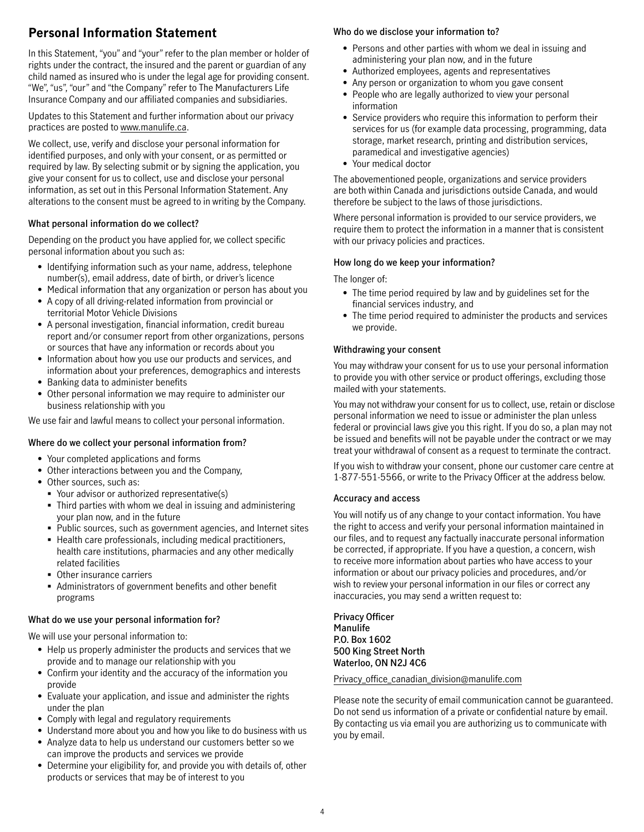# **Personal Information Statement**

In this Statement, "you" and "your" refer to the plan member or holder of rights under the contract, the insured and the parent or guardian of any child named as insured who is under the legal age for providing consent. "We", "us", "our" and "the Company" refer to The Manufacturers Life Insurance Company and our affiliated companies and subsidiaries.

Updates to this Statement and further information about our privacy practices are posted to [www.manulife.ca](http://www.manulife.ca).

We collect, use, verify and disclose your personal information for identified purposes, and only with your consent, or as permitted or required by law. By selecting submit or by signing the application, you give your consent for us to collect, use and disclose your personal information, as set out in this Personal Information Statement. Any alterations to the consent must be agreed to in writing by the Company.

## **What personal information do we collect?**

Depending on the product you have applied for, we collect specific personal information about you such as:

- Identifying information such as your name, address, telephone number(s), email address, date of birth, or driver's licence
- Medical information that any organization or person has about you
- A copy of all driving-related information from provincial or territorial Motor Vehicle Divisions
- A personal investigation, financial information, credit bureau report and/or consumer report from other organizations, persons or sources that have any information or records about you
- Information about how you use our products and services, and information about your preferences, demographics and interests
- Banking data to administer benefits
- Other personal information we may require to administer our business relationship with you

We use fair and lawful means to collect your personal information.

## **Where do we collect your personal information from?**

- Your completed applications and forms
- Other interactions between you and the Company,
- Other sources, such as:
	- Your advisor or authorized representative(s)
	- Third parties with whom we deal in issuing and administering your plan now, and in the future
	- Public sources, such as government agencies, and Internet sites
	- Health care professionals, including medical practitioners, health care institutions, pharmacies and any other medically related facilities
	- Other insurance carriers
	- Administrators of government benefits and other benefit programs

## **What do we use your personal information for?**

We will use your personal information to:

- Help us properly administer the products and services that we provide and to manage our relationship with you
- Confirm your identity and the accuracy of the information you provide
- Evaluate your application, and issue and administer the rights under the plan
- Comply with legal and regulatory requirements
- Understand more about you and how you like to do business with us
- Analyze data to help us understand our customers better so we can improve the products and services we provide
- Determine your eligibility for, and provide you with details of, other products or services that may be of interest to you

## **Who do we disclose your information to?**

- Persons and other parties with whom we deal in issuing and administering your plan now, and in the future
- Authorized employees, agents and representatives
- Any person or organization to whom you gave consent
- People who are legally authorized to view your personal information
- Service providers who require this information to perform their services for us (for example data processing, programming, data storage, market research, printing and distribution services, paramedical and investigative agencies)
- Your medical doctor

The abovementioned people, organizations and service providers are both within Canada and jurisdictions outside Canada, and would therefore be subject to the laws of those jurisdictions.

Where personal information is provided to our service providers, we require them to protect the information in a manner that is consistent with our privacy policies and practices.

## **How long do we keep your information?**

## The longer of:

- The time period required by law and by guidelines set for the financial services industry, and
- The time period required to administer the products and services we provide.

## **Withdrawing your consent**

You may withdraw your consent for us to use your personal information to provide you with other service or product offerings, excluding those mailed with your statements.

You may not withdraw your consent for us to collect, use, retain or disclose personal information we need to issue or administer the plan unless federal or provincial laws give you this right. If you do so, a plan may not be issued and benefits will not be payable under the contract or we may treat your withdrawal of consent as a request to terminate the contract.

If you wish to withdraw your consent, phone our customer care centre at 1-877-551-5566, or write to the Privacy Officer at the address below.

## **Accuracy and access**

You will notify us of any change to your contact information. You have the right to access and verify your personal information maintained in our files, and to request any factually inaccurate personal information be corrected, if appropriate. If you have a question, a concern, wish to receive more information about parties who have access to your information or about our privacy policies and procedures, and/or wish to review your personal information in our files or correct any inaccuracies, you may send a written request to:

**Privacy Officer Manulife P.O. Box 1602 500 King Street North Waterloo, ON N2J 4C6**

## Privacy office canadian division@manulife.com

Please note the security of email communication cannot be guaranteed. Do not send us information of a private or confidential nature by email. By contacting us via email you are authorizing us to communicate with you by email.